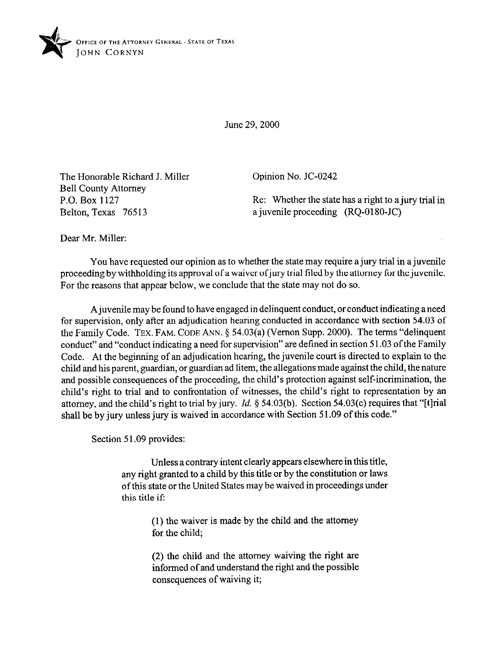

June 29,200O

The Honorable Richard J. Miller Bell County Attorney P.O. Box 1127 Belton, Texas 76513

Opinion No. JC-0242

Re: Whether the state has a right to a jury trial in a juvenile proceeding (RQ-0180-JC)

Dear Mr. Miller:

You have requested our opinion as to whether the state may require a jury trial in a juvenile proceeding by withholding its approval of a waiver of jury trial filed by the attorney for the juvenile. For the reasons that appear below, we conclude that the state may not do so.

A juvenile may be found to have engaged in delinquent conduct, or conduct indicating a need for supervision, only after an adjudication hearing conducted in accordance with section 54.03 of the Family Code. **TEX. FAM. CODE** ANN. 5 54.03(a) (Vernon Supp. 2000). The terms "delinquent conduct" and "conduct indicating a need for supervision" are defined in section 5 1.03 of the Family Code. At the beginning of an adjudication hearing, the juvenile court is directed to explain to the child and his parent, guardian, or guardian ad litem, the allegations made against the child, the nature and possible consequences of the proceeding, the child's protection against self-incrimination, the child's right to trial and to confrontation of witnesses, the child's right to representation by an attorney, and the child's right to trial by jury. *Id.* 5 54.03(b). Section 54.03(c) requires that "[tlrial shall be by jury unless jury is waived in accordance with Section 51.09 of this code."

Section 51.09 provides:

Unless a contrary intent clearly appears elsewhere in this title, any right granted to a child by this title or by the constitution or laws of this state or the United States may be waived in proceedings under this title if:

> (1) the waiver is made by the child and the attorney for the child;

> (2) the child and the attorney waiving the right are informed of and understand the right and the possible consequences of waiving it;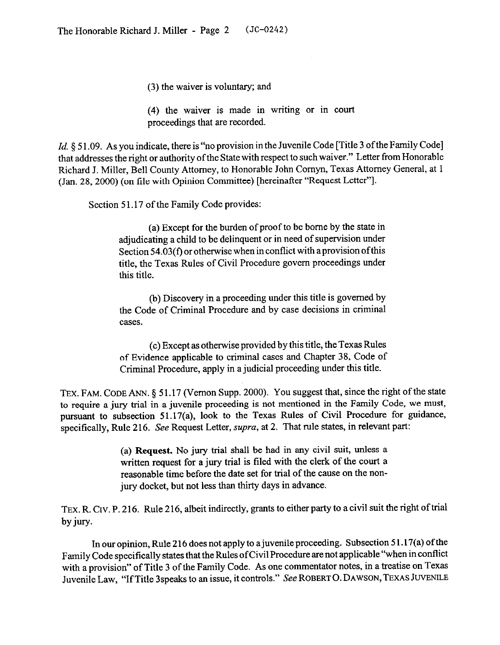*(3)* the waiver is voluntary; and

(4) the waiver is made in writing or in court proceedings that are recorded.

*Id.* § 51.09. As you indicate, there is "no provision in the Juvenile Code [Title 3 of the Family Code] that addresses the right or authority of the State with respect to such waiver." Letter from Honorable Richard J. Miller, Bell County Attorney, to Honorable John Comyn, Texas Attorney General, at 1 (Jan. 28,200O) (on tile with Opinion Committee) [hereinafter "Request Letter"].

Section 51.17 of the Family Code provides:

(a) Except for the burden of proof to be borne by the state in adjudicating a child to be delinquent or in need of supervision under Section 54.03(f) or otherwise when in conflict with a provision ofthis title, the Texas Rules of Civil Procedure govern proceedings under this title.

(b) Discovery in a proceeding under this title is governed by the Code of Criminal Procedure and by case decisions in criminal cases.

(c) Except as otherwise provided by this title, the Texas Rules of Evidence applicable to criminal cases and Chapter 38, Code of Criminal Procedure, apply in a judicial proceeding under this title.

TEX. FAM. CODE ANN. § 51.17 (Vernon Supp. 2000). You suggest that, since the right of the state to require a jury trial in a juvenile proceeding is not mentioned in the Family Code, we must, pursuant to subsection 51.17(a), look to the Texas Rules of Civil Procedure for guidance, specifically, Rule 216. See Request Letter, supra, at 2. That rule states, in relevant part:

> (a) **Request. No** jury trial shall be had in any civil suit, unless a written request for a jury trial is filed with the clerk of the court a reasonable time before the date set for trial of the cause on the nonjury docket, but not less than thirty days in advance.

TEX. R. CIV. P. 216. Rule 216, albeit indirectly, grants to either party to a civil suit the right of trial by jury.

In our opinion, Rule 216 does not apply to a juvenile proceeding. Subsection  $51.17(a)$  of the Family Code specifically states that the Rules ofCivil Procedure are not applicable "when in conflict with a provision" of Title 3 of the Family Code. As one commentator notes, in a treatise on Texas Juvenile Law, "If Title 3speaks to an issue, it controls." See ROBERTO. DAWSON, TEXAS JUVENILE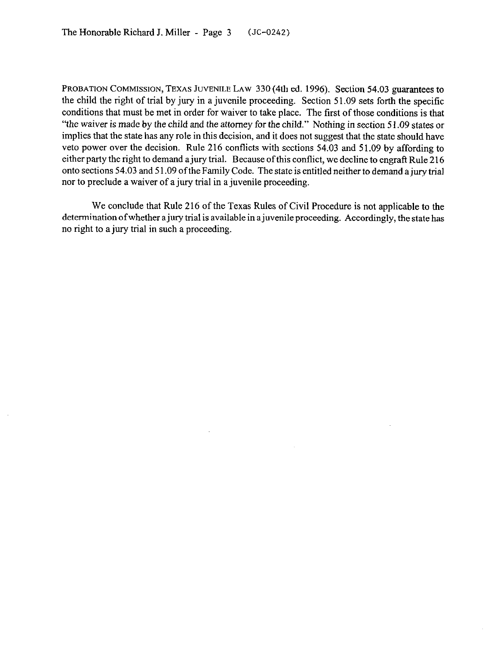PROBATION COMMISSION, TEXAS JUVENILE LAW 330 (4th ed. 1996). Section 54.03 guarantees to the child the right of trial by jury in a juvenile proceeding. Section 51.09 sets forth the specific conditions that must be met in order for waiver to take place. The first of those conditions is that "the waiver is made by the child and the attorney for the child." Nothing in section 5 1.09 states or implies that the state has any role in this decision, and it does not suggest that the state should have veto power over the decision. Rule 216 conflicts with sections 54.03 and 51.09 by affording to either party the right to demand a jury trial. Because of this conflict, we decline to engraft Rule 216 onto sections 54.03 and 5 1.09 of the Family Code. The state is entitled neither to demand ajury trial nor to preclude a waiver of a jury trial in a juvenile proceeding.

We conclude that Rule 216 of the Texas Rules of Civil Procedure is not applicable to the determination of whether a jury trial is available in a juvenile proceeding. Accordingly, the state has no right to a jury trial in such a proceeding.